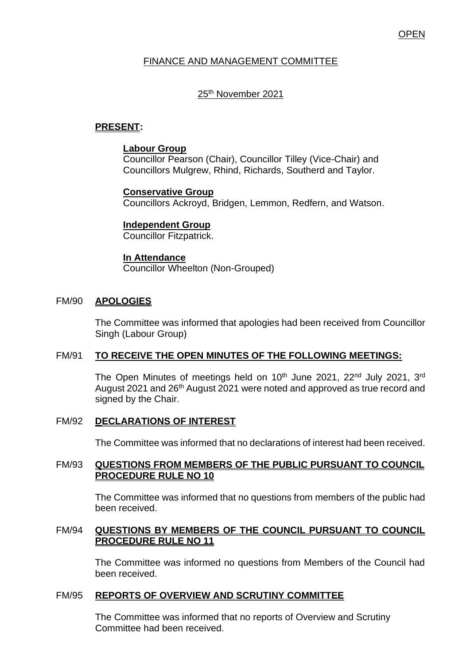# **OPEN**

### FINANCE AND MANAGEMENT COMMITTEE

## 25th November 2021

# **PRESENT:**

### **Labour Group**

Councillor Pearson (Chair), Councillor Tilley (Vice-Chair) and Councillors Mulgrew, Rhind, Richards, Southerd and Taylor.

### **Conservative Group**

Councillors Ackroyd, Bridgen, Lemmon, Redfern, and Watson.

### **Independent Group**

Councillor Fitzpatrick.

#### **In Attendance**

Councillor Wheelton (Non-Grouped)

### FM/90 **APOLOGIES**

The Committee was informed that apologies had been received from Councillor Singh (Labour Group)

### FM/91 **TO RECEIVE THE OPEN MINUTES OF THE FOLLOWING MEETINGS:**

The Open Minutes of meetings held on 10<sup>th</sup> June 2021, 22<sup>nd</sup> July 2021, 3<sup>rd</sup> August 2021 and 26<sup>th</sup> August 2021 were noted and approved as true record and signed by the Chair.

#### FM/92 **DECLARATIONS OF INTEREST**

The Committee was informed that no declarations of interest had been received.

### FM/93 **QUESTIONS FROM MEMBERS OF THE PUBLIC PURSUANT TO COUNCIL PROCEDURE RULE NO 10**

The Committee was informed that no questions from members of the public had been received.

#### FM/94 **QUESTIONS BY MEMBERS OF THE COUNCIL PURSUANT TO COUNCIL PROCEDURE RULE NO 11**

The Committee was informed no questions from Members of the Council had been received.

#### FM/95 **REPORTS OF OVERVIEW AND SCRUTINY COMMITTEE**

The Committee was informed that no reports of Overview and Scrutiny Committee had been received.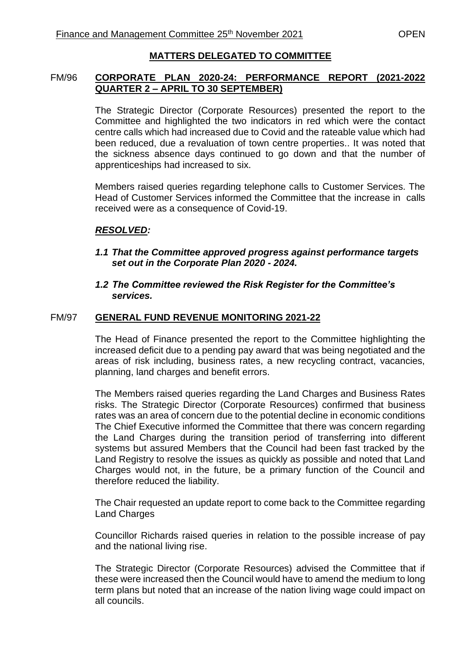# **MATTERS DELEGATED TO COMMITTEE**

## FM/96 **CORPORATE PLAN 2020-24: PERFORMANCE REPORT (2021-2022 QUARTER 2 – APRIL TO 30 SEPTEMBER)**

The Strategic Director (Corporate Resources) presented the report to the Committee and highlighted the two indicators in red which were the contact centre calls which had increased due to Covid and the rateable value which had been reduced, due a revaluation of town centre properties.. It was noted that the sickness absence days continued to go down and that the number of apprenticeships had increased to six.

Members raised queries regarding telephone calls to Customer Services. The Head of Customer Services informed the Committee that the increase in calls received were as a consequence of Covid-19.

### *RESOLVED:*

- *1.1 That the Committee approved progress against performance targets set out in the Corporate Plan 2020 - 2024.*
- *1.2 The Committee reviewed the Risk Register for the Committee's services.*

### FM/97 **GENERAL FUND REVENUE MONITORING 2021-22**

The Head of Finance presented the report to the Committee highlighting the increased deficit due to a pending pay award that was being negotiated and the areas of risk including, business rates, a new recycling contract, vacancies, planning, land charges and benefit errors.

The Members raised queries regarding the Land Charges and Business Rates risks. The Strategic Director (Corporate Resources) confirmed that business rates was an area of concern due to the potential decline in economic conditions The Chief Executive informed the Committee that there was concern regarding the Land Charges during the transition period of transferring into different systems but assured Members that the Council had been fast tracked by the Land Registry to resolve the issues as quickly as possible and noted that Land Charges would not, in the future, be a primary function of the Council and therefore reduced the liability.

The Chair requested an update report to come back to the Committee regarding Land Charges

Councillor Richards raised queries in relation to the possible increase of pay and the national living rise.

The Strategic Director (Corporate Resources) advised the Committee that if these were increased then the Council would have to amend the medium to long term plans but noted that an increase of the nation living wage could impact on all councils.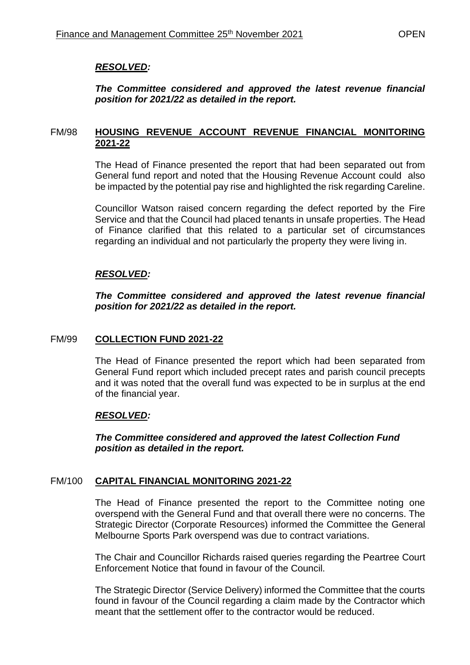# *RESOLVED:*

# *The Committee considered and approved the latest revenue financial position for 2021/22 as detailed in the report.*

### FM/98 **HOUSING REVENUE ACCOUNT REVENUE FINANCIAL MONITORING 2021-22**

The Head of Finance presented the report that had been separated out from General fund report and noted that the Housing Revenue Account could also be impacted by the potential pay rise and highlighted the risk regarding Careline.

Councillor Watson raised concern regarding the defect reported by the Fire Service and that the Council had placed tenants in unsafe properties. The Head of Finance clarified that this related to a particular set of circumstances regarding an individual and not particularly the property they were living in.

### *RESOLVED:*

*The Committee considered and approved the latest revenue financial position for 2021/22 as detailed in the report.*

### FM/99 **COLLECTION FUND 2021-22**

The Head of Finance presented the report which had been separated from General Fund report which included precept rates and parish council precepts and it was noted that the overall fund was expected to be in surplus at the end of the financial year.

### *RESOLVED:*

*The Committee considered and approved the latest Collection Fund position as detailed in the report.*

#### FM/100 **CAPITAL FINANCIAL MONITORING 2021-22**

The Head of Finance presented the report to the Committee noting one overspend with the General Fund and that overall there were no concerns. The Strategic Director (Corporate Resources) informed the Committee the General Melbourne Sports Park overspend was due to contract variations.

The Chair and Councillor Richards raised queries regarding the Peartree Court Enforcement Notice that found in favour of the Council.

The Strategic Director (Service Delivery) informed the Committee that the courts found in favour of the Council regarding a claim made by the Contractor which meant that the settlement offer to the contractor would be reduced.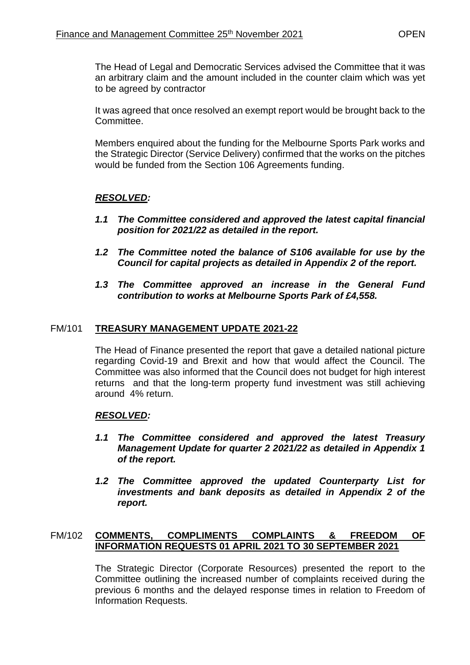The Head of Legal and Democratic Services advised the Committee that it was an arbitrary claim and the amount included in the counter claim which was yet to be agreed by contractor

It was agreed that once resolved an exempt report would be brought back to the Committee.

Members enquired about the funding for the Melbourne Sports Park works and the Strategic Director (Service Delivery) confirmed that the works on the pitches would be funded from the Section 106 Agreements funding.

# *RESOLVED:*

- *1.1 The Committee considered and approved the latest capital financial position for 2021/22 as detailed in the report.*
- *1.2 The Committee noted the balance of S106 available for use by the Council for capital projects as detailed in Appendix 2 of the report.*
- *1.3 The Committee approved an increase in the General Fund contribution to works at Melbourne Sports Park of £4,558.*

# FM/101 **TREASURY MANAGEMENT UPDATE 2021-22**

The Head of Finance presented the report that gave a detailed national picture regarding Covid-19 and Brexit and how that would affect the Council. The Committee was also informed that the Council does not budget for high interest returns and that the long-term property fund investment was still achieving around 4% return.

### *RESOLVED:*

- *1.1 The Committee considered and approved the latest Treasury Management Update for quarter 2 2021/22 as detailed in Appendix 1 of the report.*
- *1.2 The Committee approved the updated Counterparty List for investments and bank deposits as detailed in Appendix 2 of the report.*

# FM/102 **COMMENTS, COMPLIMENTS COMPLAINTS & FREEDOM OF INFORMATION REQUESTS 01 APRIL 2021 TO 30 SEPTEMBER 2021**

The Strategic Director (Corporate Resources) presented the report to the Committee outlining the increased number of complaints received during the previous 6 months and the delayed response times in relation to Freedom of Information Requests.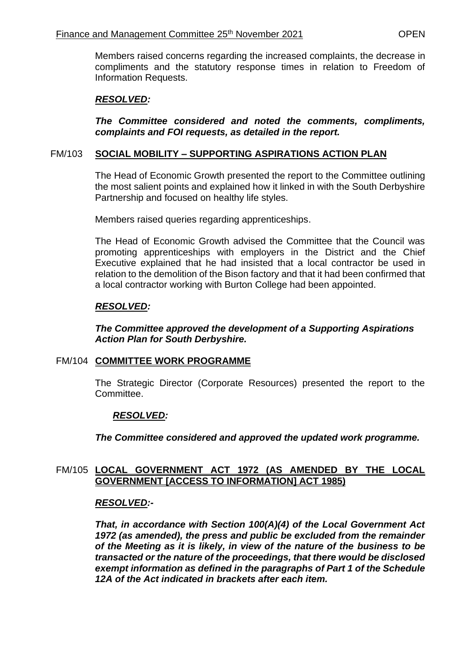Members raised concerns regarding the increased complaints, the decrease in compliments and the statutory response times in relation to Freedom of Information Requests.

# *RESOLVED:*

*The Committee considered and noted the comments, compliments, complaints and FOI requests, as detailed in the report.*

## FM/103 **SOCIAL MOBILITY – SUPPORTING ASPIRATIONS ACTION PLAN**

The Head of Economic Growth presented the report to the Committee outlining the most salient points and explained how it linked in with the South Derbyshire Partnership and focused on healthy life styles.

Members raised queries regarding apprenticeships.

The Head of Economic Growth advised the Committee that the Council was promoting apprenticeships with employers in the District and the Chief Executive explained that he had insisted that a local contractor be used in relation to the demolition of the Bison factory and that it had been confirmed that a local contractor working with Burton College had been appointed.

# *RESOLVED:*

*The Committee approved the development of a Supporting Aspirations Action Plan for South Derbyshire.* 

### FM/104 **COMMITTEE WORK PROGRAMME**

The Strategic Director (Corporate Resources) presented the report to the Committee.

### *RESOLVED:*

*The Committee considered and approved the updated work programme.* 

### FM/105 **LOCAL GOVERNMENT ACT 1972 (AS AMENDED BY THE LOCAL GOVERNMENT [ACCESS TO INFORMATION] ACT 1985)**

### *RESOLVED:-*

*That, in accordance with Section 100(A)(4) of the Local Government Act 1972 (as amended), the press and public be excluded from the remainder of the Meeting as it is likely, in view of the nature of the business to be transacted or the nature of the proceedings, that there would be disclosed exempt information as defined in the paragraphs of Part 1 of the Schedule 12A of the Act indicated in brackets after each item.*